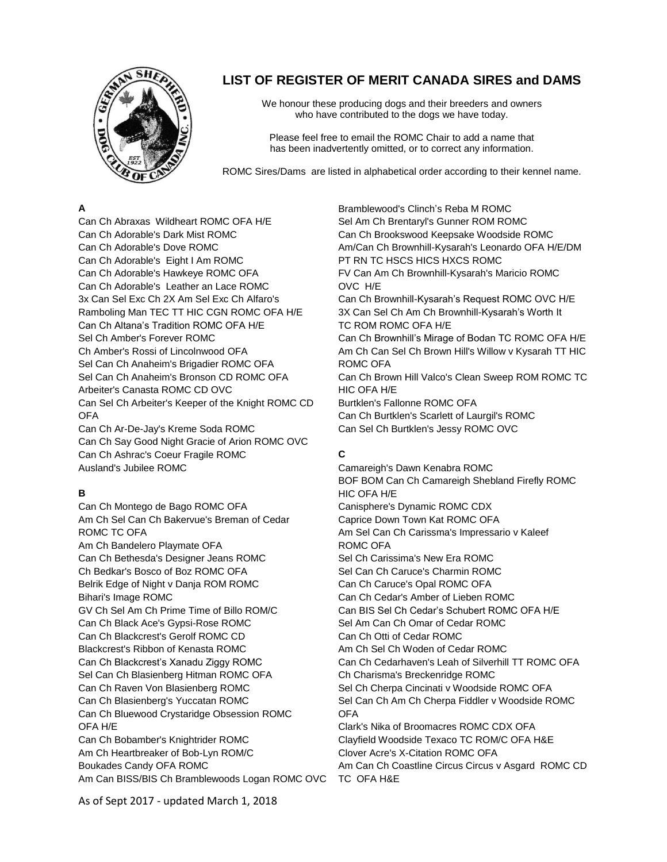

# **LIST OF REGISTER OF MERIT CANADA SIRES and DAMS**

We honour these producing dogs and their breeders and owners who have contributed to the dogs we have today.

Please feel free to email the ROMC Chair to add a name that has been inadvertently omitted, or to correct any information.

ROMC Sires/Damsare listed in alphabetical order according to their kennel name.

### **A**

Can Ch Abraxas Wildheart ROMC OFA H/E Can Ch Adorable's Dark Mist ROMC Can Ch Adorable's Dove ROMC Can Ch Adorable's Eight I Am ROMC Can Ch Adorable's Hawkeye ROMC OFA Can Ch Adorable's Leather an Lace ROMC 3x Can Sel Exc Ch 2X Am Sel Exc Ch Alfaro's Ramboling Man TEC TT HIC CGN ROMC OFA H/E Can Ch Altana's Tradition ROMC OFA H/E Sel Ch Amber's Forever ROMC Ch Amber's Rossi of Lincolnwood OFA Sel Can Ch Anaheim's Brigadier ROMC OFA Sel Can Ch Anaheim's Bronson CD ROMC OFA Arbeiter's Canasta ROMC CD OVC Can Sel Ch Arbeiter's Keeper of the Knight ROMC CD OFA Can Ch Ar-De-Jay's Kreme Soda ROMC

Can Ch Say Good Night Gracie of Arion ROMC OVC Can Ch Ashrac's Coeur Fragile ROMC Ausland's Jubilee ROMC

### **B**

Can Ch Montego de Bago ROMC OFA Am Ch Sel Can Ch Bakervue's Breman of Cedar ROMC TC OFA Am Ch Bandelero Playmate OFA Can Ch Bethesda's Designer Jeans ROMC Ch Bedkar's Bosco of Boz ROMC OFA Belrik Edge of Night v Danja ROM ROMC Bihari's Image ROMC GV Ch Sel Am Ch Prime Time of Billo ROM/C Can Ch Black Ace's Gypsi-Rose ROMC Can Ch Blackcrest's Gerolf ROMC CD Blackcrest's Ribbon of Kenasta ROMC Can Ch Blackcrest's Xanadu Ziggy ROMC Sel Can Ch Blasienberg Hitman ROMC OFA Can Ch Raven Von Blasienberg ROMC Can Ch Blasienberg's Yuccatan ROMC Can Ch Bluewood Crystaridge Obsession ROMC OFA H/E Can Ch Bobamber's Knightrider ROMC Am Ch Heartbreaker of Bob-Lyn ROM/C Boukades Candy OFA ROMC Am Can BISS/BIS Ch Bramblewoods Logan ROMC OVC TC OFA H&E

Bramblewood's Clinch's Reba M ROMC Sel Am Ch Brentaryl's Gunner ROM ROMC Can Ch Brookswood Keepsake Woodside ROMC Am/Can Ch Brownhill-Kysarah's Leonardo OFA H/E/DM PT RN TC HSCS HICS HXCS ROMC FV Can Am Ch Brownhill-Kysarah's Maricio ROMC OVC H/E Can Ch Brownhill-Kysarah's Request ROMC OVC H/E 3X Can Sel Ch Am Ch Brownhill-Kysarah's Worth It TC ROM ROMC OFA H/E Can Ch Brownhill's Mirage of Bodan TC ROMC OFA H/E Am Ch Can Sel Ch Brown Hill's Willow v Kysarah TT HIC ROMC OFA Can Ch Brown Hill Valco's Clean Sweep ROM ROMC TC HIC OFA H/E Burtklen's Fallonne ROMC OFA Can Ch Burtklen's Scarlett of Laurgil's ROMC Can Sel Ch Burtklen's Jessy ROMC OVC

# **C**

Camareigh's Dawn Kenabra ROMC BOF BOM Can Ch Camareigh Shebland Firefly ROMC HIC OFA H/E Canisphere's Dynamic ROMC CDX Caprice Down Town Kat ROMC OFA Am Sel Can Ch Carissma's Impressario v Kaleef ROMC OFA Sel Ch Carissima's New Era ROMC Sel Can Ch Caruce's Charmin ROMC Can Ch Caruce's Opal ROMC OFA Can Ch Cedar's Amber of Lieben ROMC Can BIS Sel Ch Cedar's Schubert ROMC OFA H/E Sel Am Can Ch Omar of Cedar ROMC Can Ch Otti of Cedar ROMC Am Ch Sel Ch Woden of Cedar ROMC Can Ch Cedarhaven's Leah of Silverhill TT ROMC OFA Ch Charisma's Breckenridge ROMC Sel Ch Cherpa Cincinati v Woodside ROMC OFA Sel Can Ch Am Ch Cherpa Fiddler v Woodside ROMC **OFA** Clark's Nika of Broomacres ROMC CDX OFA Clayfield Woodside Texaco TC ROM/C OFA H&E Clover Acre's X-Citation ROMC OFA Am Can Ch Coastline Circus Circus v Asgard ROMC CD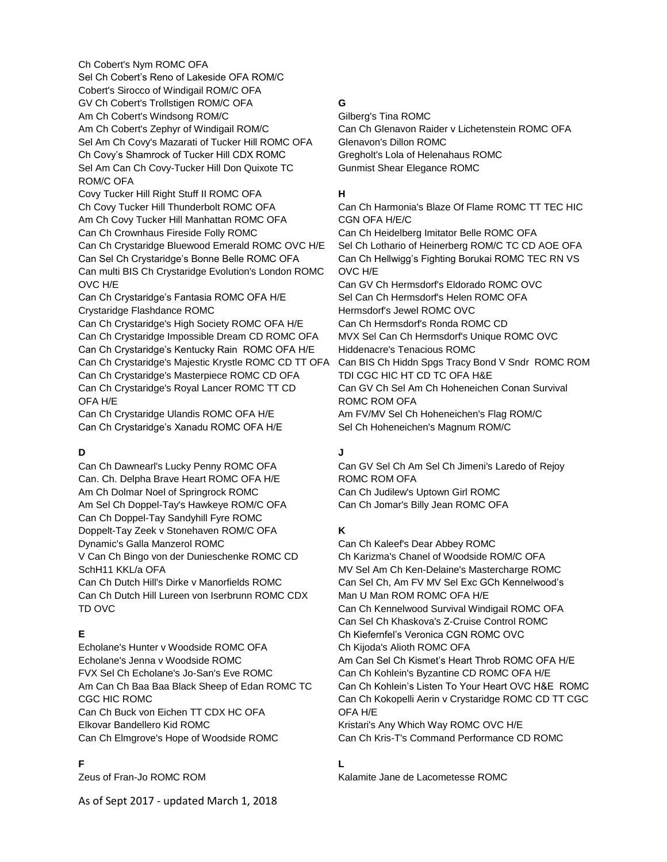Ch Cobert's Nym ROMC OFA Sel Ch Cobert's Reno of Lakeside OFA ROM/C Cobert's Sirocco of Windigail ROM/C OFA GV Ch Cobert's Trollstigen ROM/C OFA Am Ch Cobert's Windsong ROM/C Am Ch Cobert's Zephyr of Windigail ROM/C Sel Am Ch Covy's Mazarati of Tucker Hill ROMC OFA Ch Covy's Shamrock of Tucker Hill CDX ROMC Sel Am Can Ch Covy-Tucker Hill Don Quixote TC ROM/C OFA Covy Tucker Hill Right Stuff II ROMC OFA Ch Covy Tucker Hill Thunderbolt ROMC OFA Am Ch Covy Tucker Hill Manhattan ROMC OFA Can Ch Crownhaus Fireside Folly ROMC Can Ch Crystaridge Bluewood Emerald ROMC OVC H/E Can Sel Ch Crystaridge's Bonne Belle ROMC OFA Can multi BIS Ch Crystaridge Evolution's London ROMC OVC H/E Can Ch Crystaridge's Fantasia ROMC OFA H/E Crystaridge Flashdance ROMC Can Ch Crystaridge's High Society ROMC OFA H/E Can Ch Crystaridge Impossible Dream CD ROMC OFA Can Ch Crystaridge's Kentucky Rain ROMC OFA H/E Can Ch Crystaridge's Majestic Krystle ROMC CD TT OFA Can Ch Crystaridge's Masterpiece ROMC CD OFA Can Ch Crystaridge's Royal Lancer ROMC TT CD OFA H/E Can Ch Crystaridge Ulandis ROMC OFA H/E Can Ch Crystaridge's Xanadu ROMC OFA H/E

### **D**

Can Ch Dawnearl's Lucky Penny ROMC OFA Can. Ch. Delpha Brave Heart ROMC OFA H/E Am Ch Dolmar Noel of Springrock ROMC Am Sel Ch Doppel-Tay's Hawkeye ROM/C OFA Can Ch Doppel-Tay Sandyhill Fyre ROMC Doppelt-Tay Zeek v Stonehaven ROM/C OFA Dynamic's Galla Manzerol ROMC V Can Ch Bingo von der Dunieschenke ROMC CD SchH11 KKL/a OFA Can Ch Dutch Hill's Dirke v Manorfields ROMC Can Ch Dutch Hill Lureen von Iserbrunn ROMC CDX TD OVC

# **E**

Echolane's Hunter v Woodside ROMC OFA Echolane's Jenna v Woodside ROMC FVX Sel Ch Echolane's Jo-San's Eve ROMC Am Can Ch Baa Baa Black Sheep of Edan ROMC TC CGC HIC ROMC Can Ch Buck von Eichen TT CDX HC OFA Elkovar Bandellero Kid ROMC Can Ch Elmgrove's Hope of Woodside ROMC

### **F**

Zeus of Fran-Jo ROMC ROM

# **G**

Gilberg's Tina ROMC Can Ch Glenavon Raider v Lichetenstein ROMC OFA Glenavon's Dillon ROMC Gregholt's Lola of Helenahaus ROMC Gunmist Shear Elegance ROMC

### **H**

Can Ch Harmonia's Blaze Of Flame ROMC TT TEC HIC CGN OFA H/E/C Can Ch Heidelberg Imitator Belle ROMC OFA Sel Ch Lothario of Heinerberg ROM/C TC CD AOE OFA Can Ch Hellwigg's Fighting Borukai ROMC TEC RN VS OVC H/E Can GV Ch Hermsdorf's Eldorado ROMC OVC Sel Can Ch Hermsdorf's Helen ROMC OFA Hermsdorf's Jewel ROMC OVC Can Ch Hermsdorf's Ronda ROMC CD MVX Sel Can Ch Hermsdorf's Unique ROMC OVC Hiddenacre's Tenacious ROMC Can BIS Ch Hiddn Spgs Tracy Bond V Sndr ROMC ROM TDI CGC HIC HT CD TC OFA H&E Can GV Ch Sel Am Ch Hoheneichen Conan Survival ROMC ROM OFA Am FV/MV Sel Ch Hoheneichen's Flag ROM/C Sel Ch Hoheneichen's Magnum ROM/C

# **J**

Can GV Sel Ch Am Sel Ch Jimeni's Laredo of Rejoy ROMC ROM OFA Can Ch Judilew's Uptown Girl ROMC Can Ch Jomar's Billy Jean ROMC OFA

# **K**

Can Ch Kaleef's Dear Abbey ROMC Ch Karizma's Chanel of Woodside ROM/C OFA MV Sel Am Ch Ken-Delaine's Mastercharge ROMC Can Sel Ch, Am FV MV Sel Exc GCh Kennelwood's Man U Man ROM ROMC OFA H/E Can Ch Kennelwood Survival Windigail ROMC OFA Can Sel Ch Khaskova's Z-Cruise Control ROMC Ch Kiefernfel's Veronica CGN ROMC OVC Ch Kijoda's Alioth ROMC OFA Am Can Sel Ch Kismet's Heart Throb ROMC OFA H/E Can Ch Kohlein's Byzantine CD ROMC OFA H/E Can Ch Kohlein's Listen To Your Heart OVC H&E ROMC Can Ch Kokopelli Aerin v Crystaridge ROMC CD TT CGC OFA H/E Kristari's Any Which Way ROMC OVC H/E Can Ch Kris-T's Command Performance CD ROMC

# **L**

Kalamite Jane de Lacometesse ROMC

As of Sept 2017 - updated March 1, 2018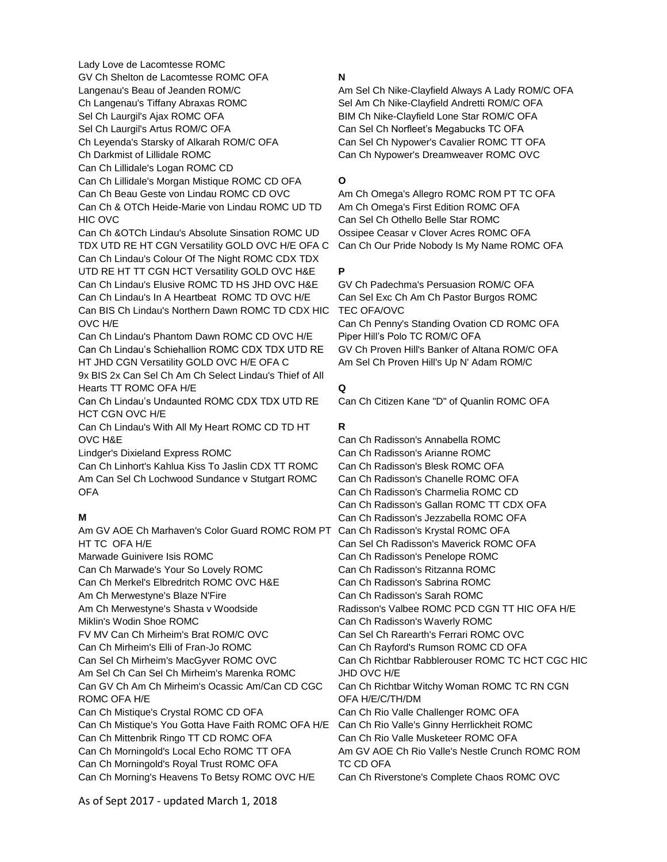Lady Love de Lacomtesse ROMC GV Ch Shelton de Lacomtesse ROMC OFA Langenau's Beau of Jeanden ROM/C Ch Langenau's Tiffany Abraxas ROMC Sel Ch Laurgil's Ajax ROMC OFA Sel Ch Laurgil's Artus ROM/C OFA Ch Leyenda's Starsky of Alkarah ROM/C OFA Ch Darkmist of Lillidale ROMC Can Ch Lillidale's Logan ROMC CD Can Ch Lillidale's Morgan Mistique ROMC CD OFA Can Ch Beau Geste von Lindau ROMC CD OVC Can Ch & OTCh Heide-Marie von Lindau ROMC UD TD HIC OVC Can Ch &OTCh Lindau's Absolute Sinsation ROMC UD TDX UTD RE HT CGN Versatility GOLD OVC H/E OFA C Can Ch Lindau's Colour Of The Night ROMC CDX TDX UTD RE HT TT CGN HCT Versatility GOLD OVC H&E Can Ch Lindau's Elusive ROMC TD HS JHD OVC H&E Can Ch Lindau's In A Heartbeat ROMC TD OVC H/E Can BIS Ch Lindau's Northern Dawn ROMC TD CDX HIC OVC H/E Can Ch Lindau's Phantom Dawn ROMC CD OVC H/E Can Ch Lindau's Schiehallion ROMC CDX TDX UTD RE HT JHD CGN Versatility GOLD OVC H/E OFA C 9x BIS 2x Can Sel Ch Am Ch Select Lindau's Thief of All Hearts TT ROMC OFA H/E Can Ch Lindau's Undaunted ROMC CDX TDX UTD RE HCT CGN OVC H/E Can Ch Lindau's With All My Heart ROMC CD TD HT OVC H&E Lindger's Dixieland Express ROMC Can Ch Linhort's Kahlua Kiss To Jaslin CDX TT ROMC Am Can Sel Ch Lochwood Sundance v Stutgart ROMC OFA **M** Am GV AOE Ch Marhaven's Color Guard ROMC ROM PT Can Ch Radisson's Krystal ROMC OFA HT TC OFA H/E Marwade Guinivere Isis ROMC Can Ch Marwade's Your So Lovely ROMC Can Ch Merkel's Elbredritch ROMC OVC H&E Am Ch Merwestyne's Blaze N'Fire Am Ch Merwestyne's Shasta v Woodside Miklin's Wodin Shoe ROMC FV MV Can Ch Mirheim's Brat ROM/C OVC Can Ch Mirheim's Elli of Fran-Jo ROMC Can Sel Ch Mirheim's MacGyver ROMC OVC Am Sel Ch Can Sel Ch Mirheim's Marenka ROMC Can GV Ch Am Ch Mirheim's Ocassic Am/Can CD CGC ROMC OFA H/E Can Ch Mistique's Crystal ROMC CD OFA Can Ch Mistique's You Gotta Have Faith ROMC OFA H/E Can Ch Mittenbrik Ringo TT CD ROMC OFA Can Ch Morningold's Local Echo ROMC TT OFA Can Ch Morningold's Royal Trust ROMC OFA

#### **N**

Am Sel Ch Nike-Clayfield Always A Lady ROM/C OFA Sel Am Ch Nike-Clayfield Andretti ROM/C OFA BIM Ch Nike-Clayfield Lone Star ROM/C OFA Can Sel Ch Norfleet's Megabucks TC OFA Can Sel Ch Nypower's Cavalier ROMC TT OFA Can Ch Nypower's Dreamweaver ROMC OVC

### **O**

Am Ch Omega's Allegro ROMC ROM PT TC OFA Am Ch Omega's First Edition ROMC OFA Can Sel Ch Othello Belle Star ROMC Ossipee Ceasar v Clover Acres ROMC OFA Can Ch Our Pride Nobody Is My Name ROMC OFA

### **P**

GV Ch Padechma's Persuasion ROM/C OFA Can Sel Exc Ch Am Ch Pastor Burgos ROMC TEC OFA/OVC Can Ch Penny's Standing Ovation CD ROMC OFA Piper Hill's Polo TC ROM/C OFA GV Ch Proven Hill's Banker of Altana ROM/C OFA Am Sel Ch Proven Hill's Up N' Adam ROM/C

### **Q**

Can Ch Citizen Kane "D" of Quanlin ROMC OFA

### **R**

Can Ch Radisson's Annabella ROMC Can Ch Radisson's Arianne ROMC Can Ch Radisson's Blesk ROMC OFA Can Ch Radisson's Chanelle ROMC OFA Can Ch Radisson's Charmelia ROMC CD Can Ch Radisson's Gallan ROMC TT CDX OFA Can Ch Radisson's Jezzabella ROMC OFA Can Sel Ch Radisson's Maverick ROMC OFA Can Ch Radisson's Penelope ROMC Can Ch Radisson's Ritzanna ROMC Can Ch Radisson's Sabrina ROMC Can Ch Radisson's Sarah ROMC Radisson's Valbee ROMC PCD CGN TT HIC OFA H/E Can Ch Radisson's Waverly ROMC Can Sel Ch Rarearth's Ferrari ROMC OVC Can Ch Rayford's Rumson ROMC CD OFA Can Ch Richtbar Rabblerouser ROMC TC HCT CGC HIC JHD OVC H/E Can Ch Richtbar Witchy Woman ROMC TC RN CGN OFA H/E/C/TH/DM Can Ch Rio Valle Challenger ROMC OFA Can Ch Rio Valle's Ginny Herrlickheit ROMC Can Ch Rio Valle Musketeer ROMC OFA Am GV AOE Ch Rio Valle's Nestle Crunch ROMC ROM TC CD OFA Can Ch Riverstone's Complete Chaos ROMC OVC

As of Sept 2017 - updated March 1, 2018

Can Ch Morning's Heavens To Betsy ROMC OVC H/E